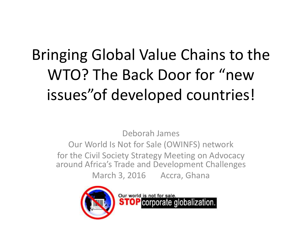# Bringing Global Value Chains to the WTO? The Back Door for "new issues"of developed countries!

Deborah James Our World Is Not for Sale (OWINFS) network for the Civil Society Strategy Meeting on Advocacy around Africa's Trade and Development Challenges March 3, 2016 Accra, Ghana



Our world is not for sale. **STOP** corporate globalization.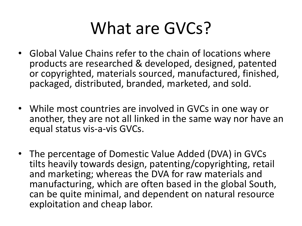# What are GVCs?

- Global Value Chains refer to the chain of locations where products are researched & developed, designed, patented or copyrighted, materials sourced, manufactured, finished, packaged, distributed, branded, marketed, and sold.
- While most countries are involved in GVCs in one way or another, they are not all linked in the same way nor have an equal status vis-a-vis GVCs.
- The percentage of Domestic Value Added (DVA) in GVCs tilts heavily towards design, patenting/copyrighting, retail and marketing; whereas the DVA for raw materials and manufacturing, which are often based in the global South, can be quite minimal, and dependent on natural resource exploitation and cheap labor.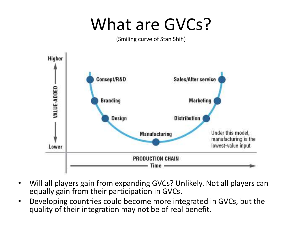# What are GVCs?

(Smiling curve of Stan Shih)



- Will all players gain from expanding GVCs? Unlikely. Not all players can equally gain from their participation in GVCs.
- Developing countries could become more integrated in GVCs, but the quality of their integration may not be of real benefit.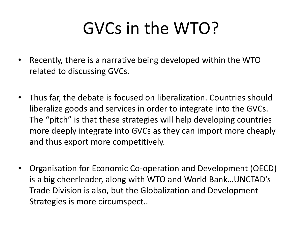# GVCs in the WTO?

- Recently, there is a narrative being developed within the WTO related to discussing GVCs.
- Thus far, the debate is focused on liberalization. Countries should liberalize goods and services in order to integrate into the GVCs. The "pitch" is that these strategies will help developing countries more deeply integrate into GVCs as they can import more cheaply and thus export more competitively.
- Organisation for Economic Co-operation and Development (OECD) is a big cheerleader, along with WTO and World Bank…UNCTAD's Trade Division is also, but the Globalization and Development Strategies is more circumspect..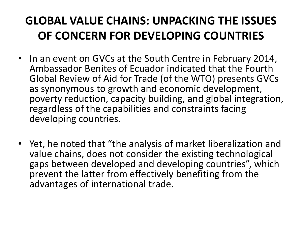#### **GLOBAL VALUE CHAINS: UNPACKING THE ISSUES OF CONCERN FOR DEVELOPING COUNTRIES**

- In an event on GVCs at the South Centre in February 2014, Ambassador Benites of Ecuador indicated that the Fourth Global Review of Aid for Trade (of the WTO) presents GVCs as synonymous to growth and economic development, poverty reduction, capacity building, and global integration, regardless of the capabilities and constraints facing developing countries.
- Yet, he noted that "the analysis of market liberalization and value chains, does not consider the existing technological gaps between developed and developing countries", which prevent the latter from effectively benefiting from the advantages of international trade.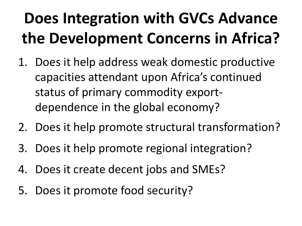- 1. Does it help address weak domestic productive capacities attendant upon Africa's continued status of primary commodity exportdependence in the global economy?
- 2. Does it help promote structural transformation?
- 3. Does it help promote regional integration?
- 4. Does it create decent jobs and SMEs?
- 5. Does it promote food security?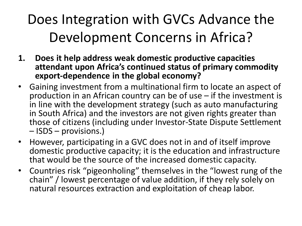- **1. Does it help address weak domestic productive capacities attendant upon Africa's continued status of primary commodity export-dependence in the global economy?**
- Gaining investment from a multinational firm to locate an aspect of production in an African country can be of use – if the investment is in line with the development strategy (such as auto manufacturing in South Africa) and the investors are not given rights greater than those of citizens (including under Investor-State Dispute Settlement – ISDS – provisions.)
- However, participating in a GVC does not in and of itself improve domestic productive capacity; it is the education and infrastructure that would be the source of the increased domestic capacity.
- Countries risk "pigeonholing" themselves in the "lowest rung of the chain" / lowest percentage of value addition, if they rely solely on natural resources extraction and exploitation of cheap labor.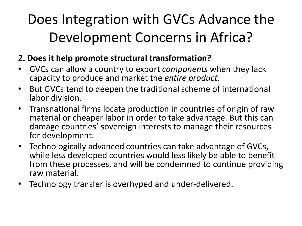#### **2. Does it help promote structural transformation?**

- GVCs can allow a country to export *components* when they lack capacity to produce and market the *entire product*.
- But GVCs tend to deepen the traditional scheme of international labor division.
- Transnational firms locate production in countries of origin of raw material or cheaper labor in order to take advantage. But this can damage countries' sovereign interests to manage their resources for development.
- Technologically advanced countries can take advantage of GVCs, while less developed countries would less likely be able to benefit from these processes, and will be condemned to continue providing raw material.
- Technology transfer is overhyped and under-delivered.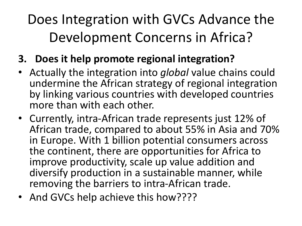#### **3. Does it help promote regional integration?**

- Actually the integration into *global* value chains could undermine the African strategy of regional integration by linking various countries with developed countries more than with each other.
- Currently, intra-African trade represents just 12% of African trade, compared to about 55% in Asia and 70% in Europe. With 1 billion potential consumers across the continent, there are opportunities for Africa to improve productivity, scale up value addition and diversify production in a sustainable manner, while removing the barriers to intra-African trade.
- And GVCs help achieve this how????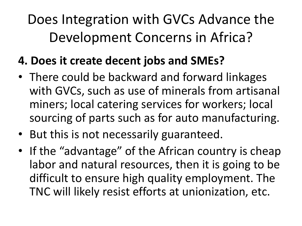#### **4. Does it create decent jobs and SMEs?**

- There could be backward and forward linkages with GVCs, such as use of minerals from artisanal miners; local catering services for workers; local sourcing of parts such as for auto manufacturing.
- But this is not necessarily guaranteed.
- If the "advantage" of the African country is cheap labor and natural resources, then it is going to be difficult to ensure high quality employment. The TNC will likely resist efforts at unionization, etc.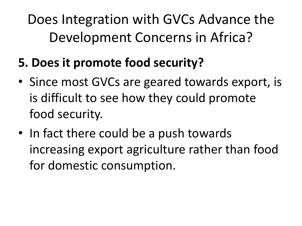- **5. Does it promote food security?**
- Since most GVCs are geared towards export, is is difficult to see how they could promote food security.
- In fact there could be a push towards increasing export agriculture rather than food for domestic consumption.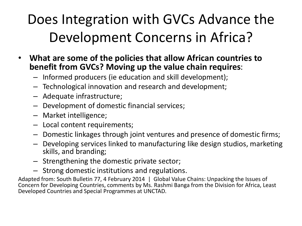- **What are some of the policies that allow African countries to benefit from GVCs? Moving up the value chain requires**:
	- Informed producers (ie education and skill development);
	- Technological innovation and research and development;
	- Adequate infrastructure;
	- Development of domestic financial services;
	- Market intelligence;
	- Local content requirements;
	- Domestic linkages through joint ventures and presence of domestic firms;
	- Developing services linked to manufacturing like design studios, marketing skills, and branding;
	- Strengthening the domestic private sector;
	- Strong domestic institutions and regulations.

Adapted from: South Bulletin 77, 4 February 2014 | Global Value Chains: Unpacking the Issues of Concern for Developing Countries, comments by Ms. Rashmi Banga from the Division for Africa, Least Developed Countries and Special Programmes at UNCTAD.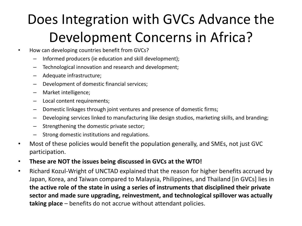- How can developing countries benefit from GVCs?
	- Informed producers (ie education and skill development);
	- Technological innovation and research and development;
	- Adequate infrastructure;
	- Development of domestic financial services;
	- Market intelligence;
	- Local content requirements;
	- Domestic linkages through joint ventures and presence of domestic firms;
	- Developing services linked to manufacturing like design studios, marketing skills, and branding;
	- Strengthening the domestic private sector;
	- Strong domestic institutions and regulations.
- Most of these policies would benefit the population generally, and SMEs, not just GVC participation.
- **These are NOT the issues being discussed in GVCs at the WTO!**
- Richard Kozul-Wright of UNCTAD explained that the reason for higher benefits accrued by Japan, Korea, and Taiwan compared to Malaysia, Philippines, and Thailand [in GVCs] lies in **the active role of the state in using a series of instruments that disciplined their private sector and made sure upgrading, reinvestment, and technological spillover was actually taking place** – benefits do not accrue without attendant policies.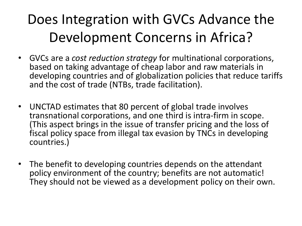- GVCs are a *cost reduction strategy* for multinational corporations, based on taking advantage of cheap labor and raw materials in developing countries and of globalization policies that reduce tariffs and the cost of trade (NTBs, trade facilitation).
- UNCTAD estimates that 80 percent of global trade involves transnational corporations, and one third is intra-firm in scope. (This aspect brings in the issue of transfer pricing and the loss of fiscal policy space from illegal tax evasion by TNCs in developing countries.)
- The benefit to developing countries depends on the attendant policy environment of the country; benefits are not automatic! They should not be viewed as a development policy on their own.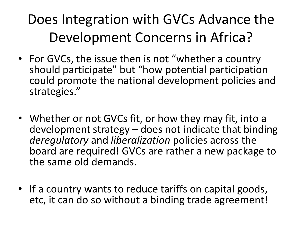- For GVCs, the issue then is not "whether a country should participate" but "how potential participation could promote the national development policies and strategies."
- Whether or not GVCs fit, or how they may fit, into a development strategy – does not indicate that binding *deregulatory* and *liberalization* policies across the board are required! GVCs are rather a new package to the same old demands.
- If a country wants to reduce tariffs on capital goods, etc, it can do so without a binding trade agreement!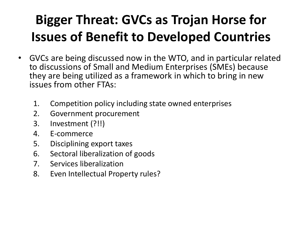- GVCs are being discussed now in the WTO, and in particular related to discussions of Small and Medium Enterprises (SMEs) because they are being utilized as a framework in which to bring in new issues from other FTAs:
	- 1. Competition policy including state owned enterprises
	- 2. Government procurement
	- 3. Investment (?!!)
	- 4. E-commerce
	- 5. Disciplining export taxes
	- 6. Sectoral liberalization of goods
	- 7. Services liberalization
	- 8. Even Intellectual Property rules?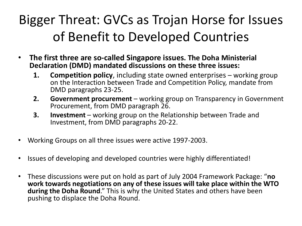- **The first three are so-called Singapore issues. The Doha Ministerial Declaration (DMD) mandated discussions on these three issues:**
	- **1. Competition policy**, including state owned enterprises working group on the Interaction between Trade and Competition Policy, mandate from DMD paragraphs 23-25.
	- **2. Government procurement**  working group on Transparency in Government Procurement, from DMD paragraph 26.
	- **3. Investment** working group on the Relationship between Trade and Investment, from DMD paragraphs 20-22.
- Working Groups on all three issues were active 1997-2003.
- Issues of developing and developed countries were highly differentiated!
- These discussions were put on hold as part of July 2004 Framework Package: "**no work towards negotiations on any of these issues will take place within the WTO during the Doha Round**." This is why the United States and others have been pushing to displace the Doha Round.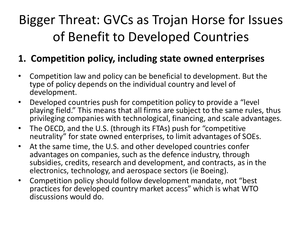#### **1. Competition policy, including state owned enterprises**

- Competition law and policy can be beneficial to development. But the type of policy depends on the individual country and level of development.
- Developed countries push for competition policy to provide a "level playing field." This means that all firms are subject to the same rules, thus privileging companies with technological, financing, and scale advantages.
- The OECD, and the U.S. (through its FTAs) push for "competitive neutrality" for state owned enterprises, to limit advantages of SOEs.
- At the same time, the U.S. and other developed countries confer advantages on companies, such as the defence industry, through subsidies, credits, research and development, and contracts, as in the electronics, technology, and aerospace sectors (ie Boeing).
- Competition policy should follow development mandate, not "best practices for developed country market access" which is what WTO discussions would do.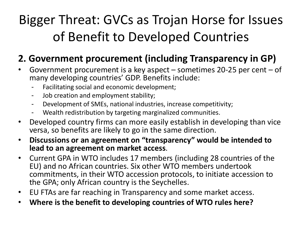#### **2. Government procurement (including Transparency in GP)**

- Government procurement is a key aspect  $-$  sometimes 20-25 per cent  $-$  of many developing countries' GDP. Benefits include:
	- Facilitating social and economic development;
	- Job creation and employment stability;
	- Development of SMEs, national industries, increase competitivity;
	- Wealth redistribution by targeting marginalized communities.
- Developed country firms can more easily establish in developing than vice versa, so benefits are likely to go in the same direction.
- **Discussions or an agreement on "transparency" would be intended to lead to an agreement on market access**.
- Current GPA in WTO includes 17 members (including 28 countries of the EU) and no African countries. Six other WTO members undertook commitments, in their WTO accession protocols, to initiate accession to the GPA; only African country is the Seychelles.
- EU FTAs are far reaching in Transparency and some market access.
- **Where is the benefit to developing countries of WTO rules here?**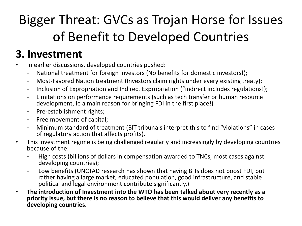#### **3. Investment**

- In earlier discussions, developed countries pushed:
	- National treatment for foreign investors (No benefits for domestic investors!);
	- Most-Favored Nation treatment (Investors claim rights under every existing treaty);
	- Inclusion of Expropriation and Indirect Expropriation ("indirect includes regulations!);
	- Limitations on performance requirements (such as tech transfer or human resource development, ie a main reason for bringing FDI in the first place!)
	- Pre-establishment rights;
	- Free movement of capital;
	- Minimum standard of treatment (BIT tribunals interpret this to find "violations" in cases of regulatory action that affects profits).
- This investment regime is being challenged regularly and increasingly by developing countries because of the:
	- High costs (billions of dollars in compensation awarded to TNCs, most cases against developing countries);
	- Low benefits (UNCTAD research has shown that having BITs does not boost FDI, but rather having a large market, educated population, good infrastructure, and stable political and legal environment contribute significantly.)
- **The introduction of Investment into the WTO has been talked about very recently as a priority issue, but there is no reason to believe that this would deliver any benefits to developing countries.**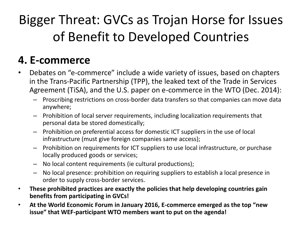#### **4. E-commerce**

- Debates on "e-commerce" include a wide variety of issues, based on chapters in the Trans-Pacific Partnership (TPP), the leaked text of the Trade in Services Agreement (TiSA), and the U.S. paper on e-commerce in the WTO (Dec. 2014):
	- Proscribing restrictions on cross-border data transfers so that companies can move data anywhere;
	- Prohibition of local server requirements, including localization requirements that personal data be stored domestically;
	- Prohibition on preferential access for domestic ICT suppliers in the use of local infrastructure (must give foreign companies same access);
	- Prohibition on requirements for ICT suppliers to use local infrastructure, or purchase locally produced goods or services;
	- No local content requirements (ie cultural productions);
	- No local presence: prohibition on requiring suppliers to establish a local presence in order to supply cross-border services.
- **These prohibited practices are exactly the policies that help developing countries gain benefits from participating in GVCs!**
- **At the World Economic Forum in January 2016, E-commerce emerged as the top "new issue" that WEF-participant WTO members want to put on the agenda!**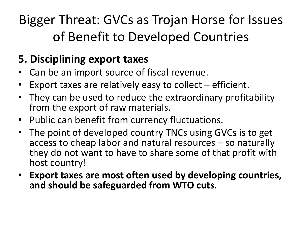#### **5. Disciplining export taxes**

- Can be an import source of fiscal revenue.
- Export taxes are relatively easy to collect  $-$  efficient.
- They can be used to reduce the extraordinary profitability from the export of raw materials.
- Public can benefit from currency fluctuations.
- The point of developed country TNCs using GVCs is to get access to cheap labor and natural resources – so naturally they do not want to have to share some of that profit with host country!
- **Export taxes are most often used by developing countries, and should be safeguarded from WTO cuts**.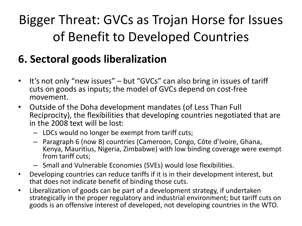#### **6. Sectoral goods liberalization**

- It's not only "new issues" but "GVCs" can also bring in issues of tariff cuts on goods as inputs; the model of GVCs depend on cost-free movement.
- Outside of the Doha development mandates (of Less Than Full Reciprocity), the flexibilities that developing countries negotiated that are in the 2008 text will be lost:
	- LDCs would no longer be exempt from tariff cuts;
	- Paragraph 6 (now 8) countries (Cameroon, Congo, Côte d'Ivoire, Ghana, Kenya, Mauritius, Nigeria, Zimbabwe) with low binding coverage were exempt from tariff cuts;
	- Small and Vulnerable Economies (SVEs) would lose flexibilities.
- Developing countries can reduce tariffs if it is in their development interest, but that does not indicate benefit of binding those cuts.
- Liberalization of goods can be part of a development strategy, if undertaken strategically in the proper regulatory and industrial environment; but tariff cuts on goods is an offensive interest of developed, not developing countries in the WTO.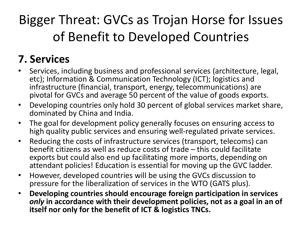#### **7. Services**

- Services, including business and professional services (architecture, legal, etc); Information & Communication Technology (ICT); logistics and infrastructure (financial, transport, energy, telecommunications) are pivotal for GVCs and average 50 percent of the value of goods exports.
- Developing countries only hold 30 percent of global services market share, dominated by China and India.
- The goal for development policy generally focuses on ensuring access to high quality public services and ensuring well-regulated private services.
- Reducing the costs of infrastructure services (transport, telecoms) can benefit citizens as well as reduce costs of trade – this could facilitate exports but could also end up facilitating more imports, depending on attendant policies! Education is essential for moving up the GVC ladder.
- However, developed countries will be using the GVCs discussion to pressure for the liberalization of services in the WTO (GATS plus).
- **Developing countries should encourage foreign participation in services**  *only* **in accordance with their development policies, not as a goal in an of itself nor only for the benefit of ICT & logistics TNCs.**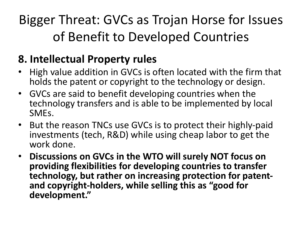#### **8. Intellectual Property rules**

- High value addition in GVCs is often located with the firm that holds the patent or copyright to the technology or design.
- GVCs are said to benefit developing countries when the technology transfers and is able to be implemented by local SMEs.
- But the reason TNCs use GVCs is to protect their highly-paid investments (tech, R&D) while using cheap labor to get the work done.
- **Discussions on GVCs in the WTO will surely NOT focus on providing flexibilities for developing countries to transfer technology, but rather on increasing protection for patentand copyright-holders, while selling this as "good for development."**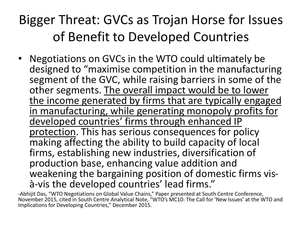• Negotiations on GVCs in the WTO could ultimately be designed to "maximise competition in the manufacturing segment of the GVC, while raising barriers in some of the other segments. The overall impact would be to lower the income generated by firms that are typically engaged in manufacturing, while generating monopoly profits for developed countries' firms through enhanced IP protection. This has serious consequences for policy making affecting the ability to build capacity of local firms, establishing new industries, diversification of production base, enhancing value addition and weakening the bargaining position of domestic firms visà-vis the developed countries' lead firms."

-Abhijit Das, "WTO Negotiations on Global Value Chains," Paper presented at South Centre Conference, November 2015, cited in South Centre Analytical Note, "WTO's MC10: The Call for 'New Issues' at the WTO and Implications for Developing Countries," December 2015.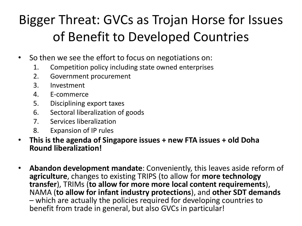- So then we see the effort to focus on negotiations on:
	- 1. Competition policy including state owned enterprises
	- 2. Government procurement
	- 3. Investment
	- 4. E-commerce
	- 5. Disciplining export taxes
	- 6. Sectoral liberalization of goods
	- 7. Services liberalization
	- 8. Expansion of IP rules
- **This is the agenda of Singapore issues + new FTA issues + old Doha Round liberalization!**
- **Abandon development mandate**: Conveniently, this leaves aside reform of **agriculture**, changes to existing TRIPS (to allow for **more technology transfer**), TRIMs (**to allow for more more local content requirements**), NAMA (**to allow for infant industry protections**), and **other SDT demands**  – which are actually the policies required for developing countries to benefit from trade in general, but also GVCs in particular!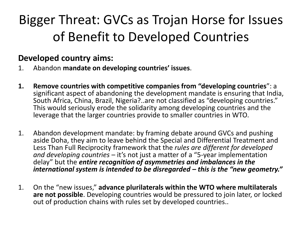#### **Developed country aims:**

- 1. Abandon **mandate on developing countries' issues**.
- **1. Remove countries with competitive companies from "developing countries**": a significant aspect of abandoning the development mandate is ensuring that India, South Africa, China, Brazil, Nigeria?..are not classified as "developing countries." This would seriously erode the solidarity among developing countries and the leverage that the larger countries provide to smaller countries in WTO.
- 1. Abandon development mandate: by framing debate around GVCs and pushing aside Doha, they aim to leave behind the Special and Differential Treatment and Less Than Full Reciprocity framework that the *rules are different for developed and developing countries* – it's not just a matter of a "5-year implementation delay" but the *entire recognition of asymmetries and imbalances in the international system is intended to be disregarded – this is the "new geometry."*
- 1. On the "new issues," **advance plurilaterals within the WTO where multilaterals are not possible**. Developing countries would be pressured to join later, or locked out of production chains with rules set by developed countries..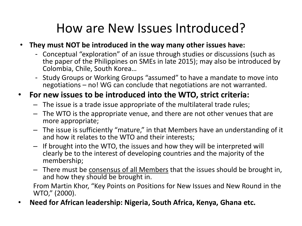#### How are New Issues Introduced?

#### • **They must NOT be introduced in the way many other issues have:**

- Conceptual "exploration" of an issue through studies or discussions (such as the paper of the Philippines on SMEs in late 2015); may also be introduced by Colombia, Chile, South Korea…
- Study Groups or Working Groups "assumed" to have a mandate to move into negotiations – no! WG can conclude that negotiations are not warranted.

#### • **For new issues to be introduced into the WTO, strict criteria:**

- The issue is a trade issue appropriate of the multilateral trade rules;
- The WTO is the appropriate venue, and there are not other venues that are more appropriate;
- The issue is sufficiently "mature," in that Members have an understanding of it and how it relates to the WTO and their interests;
- If brought into the WTO, the issues and how they will be interpreted will clearly be to the interest of developing countries and the majority of the membership;
- There must be consensus of all Members that the issues should be brought in, and how they should be brought in.

From Martin Khor, "Key Points on Positions for New Issues and New Round in the WTO," (2000).

• **Need for African leadership: Nigeria, South Africa, Kenya, Ghana etc.**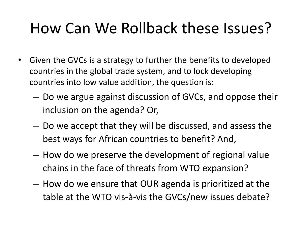## How Can We Rollback these Issues?

- Given the GVCs is a strategy to further the benefits to developed countries in the global trade system, and to lock developing countries into low value addition, the question is:
	- Do we argue against discussion of GVCs, and oppose their inclusion on the agenda? Or,
	- Do we accept that they will be discussed, and assess the best ways for African countries to benefit? And,
	- How do we preserve the development of regional value chains in the face of threats from WTO expansion?
	- How do we ensure that OUR agenda is prioritized at the table at the WTO vis-à-vis the GVCs/new issues debate?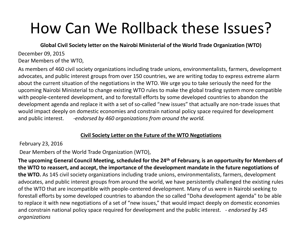## How Can We Rollback these Issues?

**Global Civil Society letter on the Nairobi Ministerial of the World Trade Organization (WTO)** 

December 09, 2015 Dear Members of the WTO,

As members of 460 civil society organizations including trade unions, environmentalists, farmers, development advocates, and public interest groups from over 150 countries, we are writing today to express extreme alarm about the current situation of the negotiations in the WTO. We urge you to take seriously the need for the upcoming Nairobi Ministerial to change existing WTO rules to make the global trading system more compatible with people-centered development, and to forestall efforts by some developed countries to abandon the development agenda and replace it with a set of so-called "new issues" that actually are non-trade issues that would impact deeply on domestic economies and constrain national policy space required for development and public interest. *-endorsed by 460 organizations from around the world.*

#### **Civil Society Letter on the Future of the WTO Negotiations**

February 23, 2016

Dear Members of the World Trade Organization (WTO),

**The upcoming General Council Meeting, scheduled for the 24th of February, is an opportunity for Members of the WTO to reassert, and accept, the importance of the development mandate in the future negotiations of the WTO.** As 145 civil society organizations including trade unions, environmentalists, farmers, development advocates, and public interest groups from around the world, we have persistently challenged the existing rules of the WTO that are incompatible with people-centered development. Many of us were in Nairobi seeking to forestall efforts by some developed countries to abandon the so called "Doha development agenda" to be able to replace it with new negotiations of a set of "new issues," that would impact deeply on domestic economies and constrain national policy space required for development and the public interest. *- endorsed by 145 organizations*